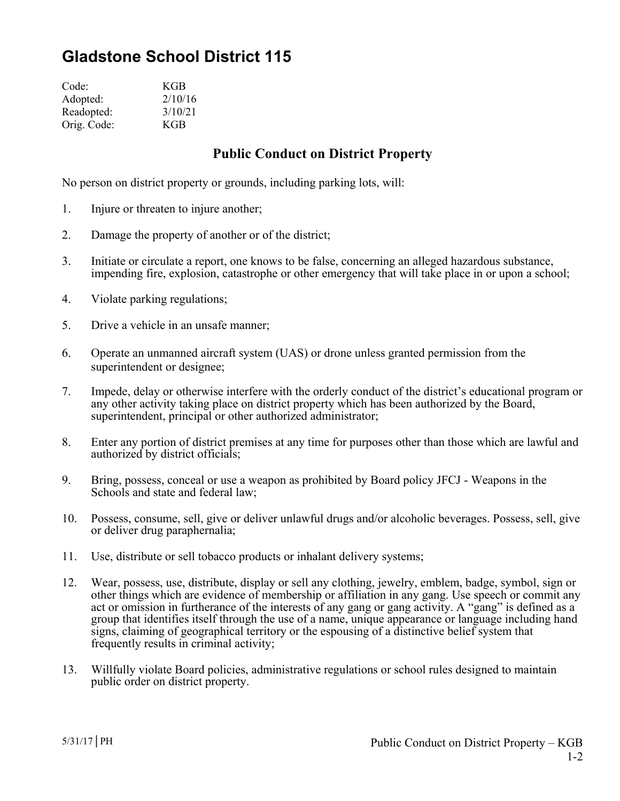## **Gladstone School District 115**

| Code:       | KGB     |
|-------------|---------|
| Adopted:    | 2/10/16 |
| Readopted:  | 3/10/21 |
| Orig. Code: | KGB     |

## **Public Conduct on District Property**

No person on district property or grounds, including parking lots, will:

- 1. Injure or threaten to injure another;
- 2. Damage the property of another or of the district;
- 3. Initiate or circulate a report, one knows to be false, concerning an alleged hazardous substance, impending fire, explosion, catastrophe or other emergency that will take place in or upon a school;
- 4. Violate parking regulations;
- 5. Drive a vehicle in an unsafe manner;
- 6. Operate an unmanned aircraft system (UAS) or drone unless granted permission from the superintendent or designee;
- 7. Impede, delay or otherwise interfere with the orderly conduct of the district's educational program or any other activity taking place on district property which has been authorized by the Board, superintendent, principal or other authorized administrator;
- 8. Enter any portion of district premises at any time for purposes other than those which are lawful and authorized by district officials;
- 9. Bring, possess, conceal or use a weapon as prohibited by Board policy JFCJ Weapons in the Schools and state and federal law;
- 10. Possess, consume, sell, give or deliver unlawful drugs and/or alcoholic beverages. Possess, sell, give or deliver drug paraphernalia;
- 11. Use, distribute or sell tobacco products or inhalant delivery systems;
- 12. Wear, possess, use, distribute, display or sell any clothing, jewelry, emblem, badge, symbol, sign or other things which are evidence of membership or affiliation in any gang. Use speech or commit any act or omission in furtherance of the interests of any gang or gang activity. A "gang" is defined as a group that identifies itself through the use of a name, unique appearance or language including hand signs, claiming of geographical territory or the espousing of a distinctive belief system that frequently results in criminal activity;
- 13. Willfully violate Board policies, administrative regulations or school rules designed to maintain public order on district property.